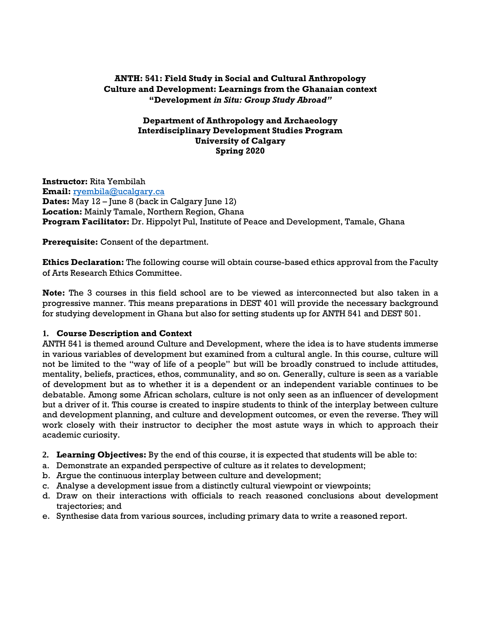# **ANTH: 541: Field Study in Social and Cultural Anthropology Culture and Development: Learnings from the Ghanaian context "Development** *in Situ: Group Study Abroad"*

### **Department of Anthropology and Archaeology Interdisciplinary Development Studies Program University of Calgary Spring 2020**

**Instructor:** Rita Yembilah **Email:** [ryembila@ucalgary.ca](mailto:ryembila@ucalgary.ca) **Dates:** May 12 – June 8 (back in Calgary June 12) **Location:** Mainly Tamale, Northern Region, Ghana **Program Facilitator:** Dr. Hippolyt Pul, Institute of Peace and Development, Tamale, Ghana

**Prerequisite:** Consent of the department.

**Ethics Declaration:** The following course will obtain course-based ethics approval from the Faculty of Arts Research Ethics Committee.

**Note:** The 3 courses in this field school are to be viewed as interconnected but also taken in a progressive manner. This means preparations in DEST 401 will provide the necessary background for studying development in Ghana but also for setting students up for ANTH 541 and DEST 501.

## **1. Course Description and Context**

ANTH 541 is themed around Culture and Development, where the idea is to have students immerse in various variables of development but examined from a cultural angle. In this course, culture will not be limited to the "way of life of a people" but will be broadly construed to include attitudes, mentality, beliefs, practices, ethos, communality, and so on. Generally, culture is seen as a variable of development but as to whether it is a dependent or an independent variable continues to be debatable. Among some African scholars, culture is not only seen as an influencer of development but a driver of it. This course is created to inspire students to think of the interplay between culture and development planning, and culture and development outcomes, or even the reverse. They will work closely with their instructor to decipher the most astute ways in which to approach their academic curiosity.

- **2. Learning Objectives:** By the end of this course, it is expected that students will be able to:
- a. Demonstrate an expanded perspective of culture as it relates to development;
- b. Argue the continuous interplay between culture and development;
- c. Analyse a development issue from a distinctly cultural viewpoint or viewpoints;
- d. Draw on their interactions with officials to reach reasoned conclusions about development trajectories; and
- e. Synthesise data from various sources, including primary data to write a reasoned report.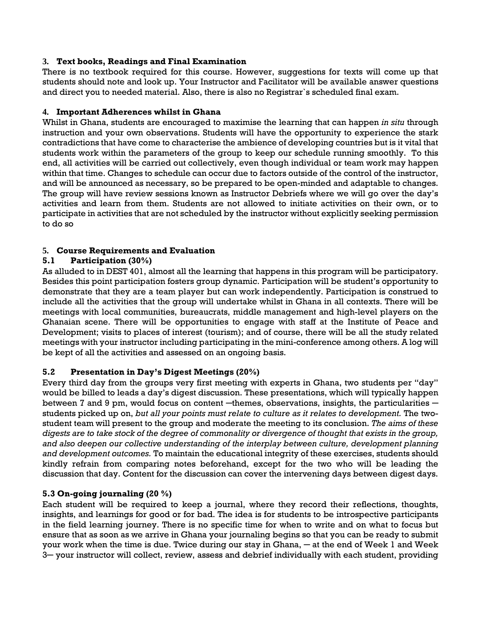### **3. Text books, Readings and Final Examination**

There is no textbook required for this course. However, suggestions for texts will come up that students should note and look up. Your Instructor and Facilitator will be available answer questions and direct you to needed material. Also, there is also no Registrar`s scheduled final exam.

### **4. Important Adherences whilst in Ghana**

Whilst in Ghana, students are encouraged to maximise the learning that can happen *in situ* through instruction and your own observations. Students will have the opportunity to experience the stark contradictions that have come to characterise the ambience of developing countries but is it vital that students work within the parameters of the group to keep our schedule running smoothly. To this end, all activities will be carried out collectively, even though individual or team work may happen within that time. Changes to schedule can occur due to factors outside of the control of the instructor, and will be announced as necessary, so be prepared to be open-minded and adaptable to changes. The group will have review sessions known as Instructor Debriefs where we will go over the day's activities and learn from them. Students are not allowed to initiate activities on their own, or to participate in activities that are not scheduled by the instructor without explicitly seeking permission to do so

## **5. Course Requirements and Evaluation**

## **5.1 Participation (30%)**

As alluded to in DEST 401, almost all the learning that happens in this program will be participatory. Besides this point participation fosters group dynamic. Participation will be student's opportunity to demonstrate that they are a team player but can work independently. Participation is construed to include all the activities that the group will undertake whilst in Ghana in all contexts. There will be meetings with local communities, bureaucrats, middle management and high-level players on the Ghanaian scene. There will be opportunities to engage with staff at the Institute of Peace and Development; visits to places of interest (tourism); and of course, there will be all the study related meetings with your instructor including participating in the mini-conference among others. A log will be kept of all the activities and assessed on an ongoing basis.

## **5.2 Presentation in Day's Digest Meetings (20%)**

Every third day from the groups very first meeting with experts in Ghana, two students per "day" would be billed to leads a day's digest discussion. These presentations, which will typically happen between 7 and 9 pm, would focus on content  $-themes$ , observations, insights, the particularities  $$ students picked up on, *but all your points must relate to culture as it relates to development.* The twostudent team will present to the group and moderate the meeting to its conclusion. *The aims of these digests are to take stock of the degree of commonality or divergence of thought that exists in the group, and also deepen our collective understanding of the interplay between culture, development planning and development outcomes.* To maintain the educational integrity of these exercises, students should kindly refrain from comparing notes beforehand, except for the two who will be leading the discussion that day. Content for the discussion can cover the intervening days between digest days.

## **5.3 On-going journaling (20 %)**

Each student will be required to keep a journal, where they record their reflections, thoughts, insights, and learnings for good or for bad. The idea is for students to be introspective participants in the field learning journey. There is no specific time for when to write and on what to focus but ensure that as soon as we arrive in Ghana your journaling begins so that you can be ready to submit your work when the time is due. Twice during our stay in Ghana, — at the end of Week 1 and Week 3─ your instructor will collect, review, assess and debrief individually with each student, providing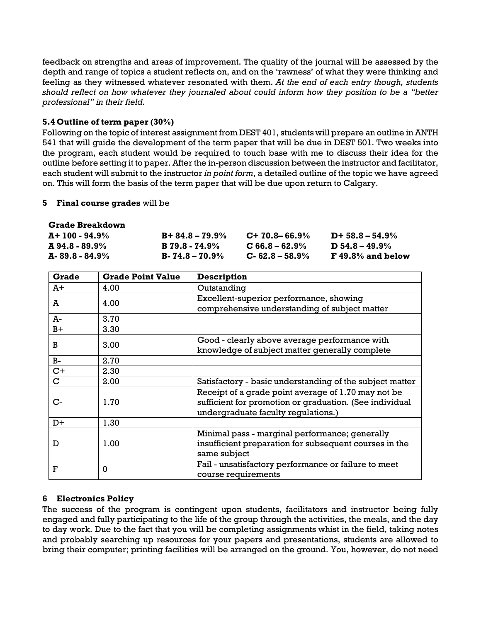feedback on strengths and areas of improvement. The quality of the journal will be assessed by the depth and range of topics a student reflects on, and on the 'rawness' of what they were thinking and feeling as they witnessed whatever resonated with them. *At the end of each entry though, students should reflect on how whatever they journaled about could inform how they position to be a "better professional" in their field.* 

## **5.4 Outline of term paper (30%)**

Following on the topic of interest assignment from DEST 401, students will prepare an outline in ANTH 541 that will guide the development of the term paper that will be due in DEST 501. Two weeks into the program, each student would be required to touch base with me to discuss their idea for the outline before setting it to paper. After the in-person discussion between the instructor and facilitator, each student will submit to the instructor *in point form*, a detailed outline of the topic we have agreed on. This will form the basis of the term paper that will be due upon return to Calgary.

#### **5 Final course grades** will be

#### **Grade Breakdown**

| A+ 100 - 94.9%            | $B + 84.8 - 79.9\%$   | $C+70.8-66.9\%$     | $D+58.8-54.9%$        |
|---------------------------|-----------------------|---------------------|-----------------------|
| $\mathbf{A}$ 94.8 - 89.9% | $\bf{B}$ 79.8 - 74.9% | $C$ 66.8 – 62.9%    | $\bf{D}$ 54.8 – 49.9% |
| A-89.8 - 84.9%            | $B - 74.8 - 70.9\%$   | $C - 62.8 - 58.9\%$ | $F$ 49.8% and below   |

| <b>Grade</b> | <b>Grade Point Value</b> | <b>Description</b>                                                                                                                                    |  |
|--------------|--------------------------|-------------------------------------------------------------------------------------------------------------------------------------------------------|--|
| Ā+           | 4.00                     | Outstanding                                                                                                                                           |  |
| A            | 4.00                     | Excellent-superior performance, showing<br>comprehensive understanding of subject matter                                                              |  |
| A-           | 3.70                     |                                                                                                                                                       |  |
| $B+$         | 3.30                     |                                                                                                                                                       |  |
| B            | 3.00                     | Good - clearly above average performance with<br>knowledge of subject matter generally complete                                                       |  |
| $B-$         | 2.70                     |                                                                                                                                                       |  |
| $C+$         | 2.30                     |                                                                                                                                                       |  |
| $\mathbf C$  | 2.00                     | Satisfactory - basic understanding of the subject matter                                                                                              |  |
| C-           | 1.70                     | Receipt of a grade point average of 1.70 may not be<br>sufficient for promotion or graduation. (See individual<br>undergraduate faculty regulations.) |  |
| $D+$         | 1.30                     |                                                                                                                                                       |  |
| D            | 1.00                     | Minimal pass - marginal performance; generally<br>insufficient preparation for subsequent courses in the<br>same subject                              |  |
| F            | $\Omega$                 | Fail - unsatisfactory performance or failure to meet<br>course requirements                                                                           |  |

## **6 Electronics Policy**

The success of the program is contingent upon students, facilitators and instructor being fully engaged and fully participating to the life of the group through the activities, the meals, and the day to day work. Due to the fact that you will be completing assignments whist in the field, taking notes and probably searching up resources for your papers and presentations, students are allowed to bring their computer; printing facilities will be arranged on the ground. You, however, do not need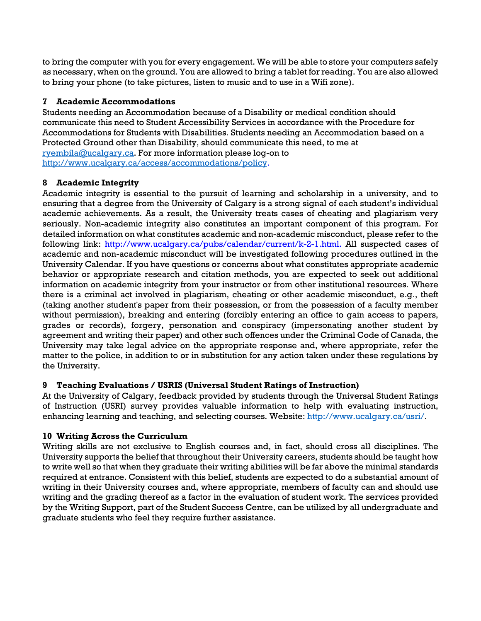to bring the computer with you for every engagement. We will be able to store your computers safely as necessary, when on the ground. You are allowed to bring a tablet for reading. You are also allowed to bring your phone (to take pictures, listen to music and to use in a Wifi zone).

# **7 Academic Accommodations**

Students needing an Accommodation because of a Disability or medical condition should communicate this need to Student Accessibility Services in accordance with the Procedure for Accommodations for Students with Disabilities. Students needing an Accommodation based on a Protected Ground other than Disability, should communicate this need, to me at [ryembila@ucalgary.ca.](mailto:ryembila@ucalgary.ca) For more information please log-on to [http://www.ucalgary.ca/access/accommodations/policy.](http://www.ucalgary.ca/access/accommodations/policy)

## **8 Academic Integrity**

Academic integrity is essential to the pursuit of learning and scholarship in a university, and to ensuring that a degree from the University of Calgary is a strong signal of each student's individual academic achievements. As a result, the University treats cases of cheating and plagiarism very seriously. Non-academic integrity also constitutes an important component of this program. For detailed information on what constitutes academic and non-academic misconduct, please refer to the following link: http://www.ucalgary.ca/pubs/calendar/current/k-2-1.html. All suspected cases of academic and non-academic misconduct will be investigated following procedures outlined in the University Calendar. If you have questions or concerns about what constitutes appropriate academic behavior or appropriate research and citation methods, you are expected to seek out additional information on academic integrity from your instructor or from other institutional resources. Where there is a criminal act involved in plagiarism, cheating or other academic misconduct, e.g., theft (taking another student's paper from their possession, or from the possession of a faculty member without permission), breaking and entering (forcibly entering an office to gain access to papers, grades or records), forgery, personation and conspiracy (impersonating another student by agreement and writing their paper) and other such offences under the Criminal Code of Canada, the University may take legal advice on the appropriate response and, where appropriate, refer the matter to the police, in addition to or in substitution for any action taken under these regulations by the University.

## **9 Teaching Evaluations / USRIS (Universal Student Ratings of Instruction)**

At the University of Calgary, feedback provided by students through the Universal Student Ratings of Instruction (USRI) survey provides valuable information to help with evaluating instruction, enhancing learning and teaching, and selecting courses. Website: [http://www.ucalgary.ca/usri/.](http://www.ucalgary.ca/usri/)

## **10 Writing Across the Curriculum**

Writing skills are not exclusive to English courses and, in fact, should cross all disciplines. The University supports the belief that throughout their University careers, students should be taught how to write well so that when they graduate their writing abilities will be far above the minimal standards required at entrance. Consistent with this belief, students are expected to do a substantial amount of writing in their University courses and, where appropriate, members of faculty can and should use writing and the grading thereof as a factor in the evaluation of student work. The services provided by the Writing Support, part of the Student Success Centre, can be utilized by all undergraduate and graduate students who feel they require further assistance.